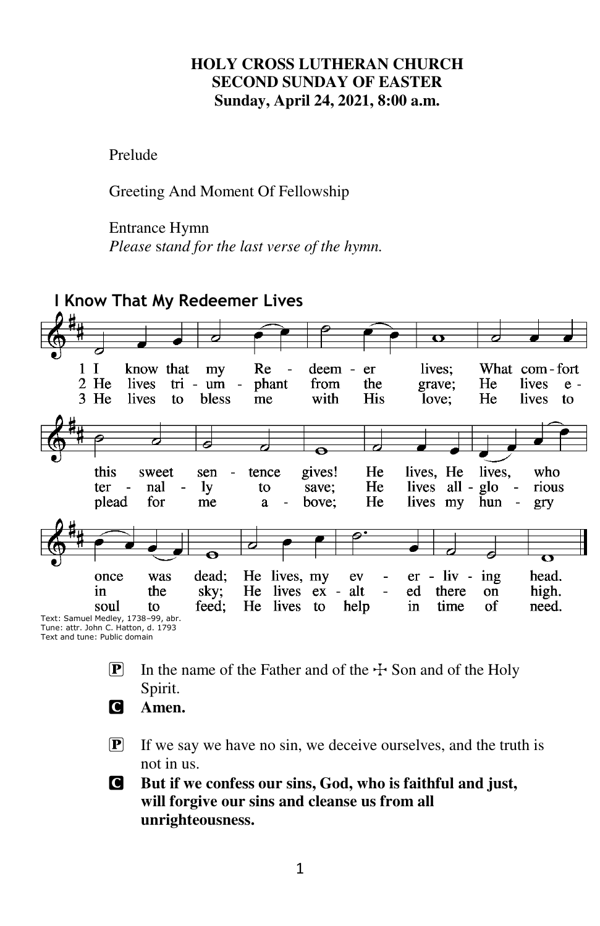#### **HOLY CROSS LUTHERAN CHURCH SECOND SUNDAY OF EASTER Sunday, April 24, 2021, 8:00 a.m.**

Prelude

Greeting And Moment Of Fellowship

#### Entrance Hymn

*Please* s*tand for the last verse of the hymn.* 



- **P** In the name of the Father and of the  $\pm$  Son and of the Holy Spirit.
- C **Amen.**
- $\mathbf{P}$  If we say we have no sin, we deceive ourselves, and the truth is not in us.

C **But if we confess our sins, God, who is faithful and just, will forgive our sins and cleanse us from all unrighteousness.**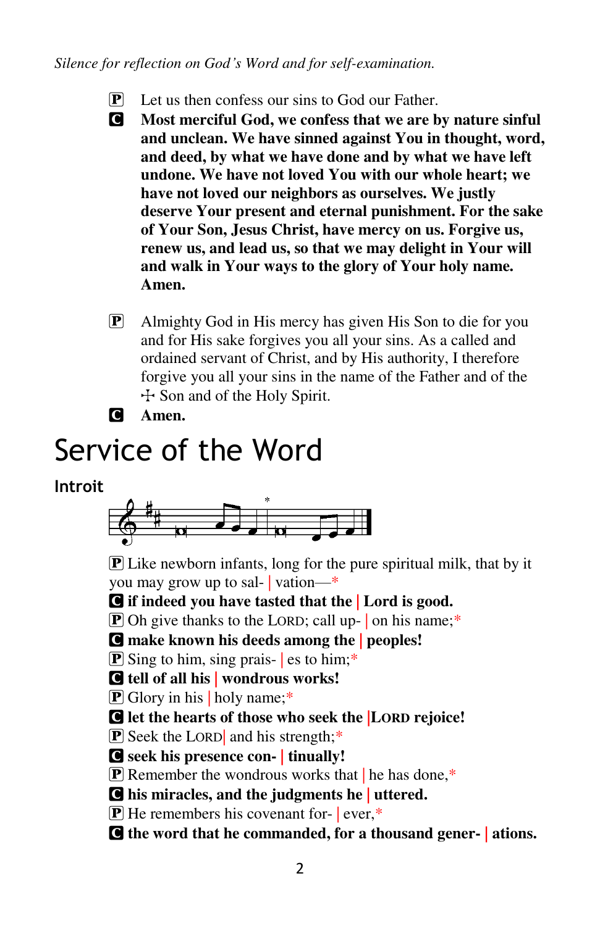*Silence for reflection on God's Word and for self-examination.* 

- $\mathbf{P}$  Let us then confess our sins to God our Father.
- C **Most merciful God, we confess that we are by nature sinful and unclean. We have sinned against You in thought, word, and deed, by what we have done and by what we have left undone. We have not loved You with our whole heart; we have not loved our neighbors as ourselves. We justly deserve Your present and eternal punishment. For the sake of Your Son, Jesus Christ, have mercy on us. Forgive us, renew us, and lead us, so that we may delight in Your will and walk in Your ways to the glory of Your holy name. Amen.**
- P Almighty God in His mercy has given His Son to die for you and for His sake forgives you all your sins. As a called and ordained servant of Christ, and by His authority, I therefore forgive you all your sins in the name of the Father and of the  $\pm$  Son and of the Holy Spirit.
- C **Amen.**

# Service of the Word

#### **Introit**



 $\bf{P}$  Like newborn infants, long for the pure spiritual milk, that by it you may grow up to sal- | vation—\*

C **if indeed you have tasted that the | Lord is good.** 

 $\overline{P}$  Oh give thanks to the LORD; call up- on his name;\*

C **make known his deeds among the | peoples!** 

 $\mathbf{P}$  Sing to him, sing prais-  $\mathbf{\parallel}$  es to him;\*

C **tell of all his | wondrous works!** 

 $\overline{P}$  Glory in his | holy name;\*

C **let the hearts of those who seek the |LORD rejoice!** 

P Seek the LORD| and his strength;\*

C **seek his presence con- | tinually!** 

 $\boxed{\mathbf{P}}$  Remember the wondrous works that  $\boxed{\mathbf{h}}$  he has done.\*

C **his miracles, and the judgments he | uttered.** 

 $\mathbf{P}$  He remembers his covenant for- | ever,\*

C **the word that he commanded, for a thousand gener- | ations.**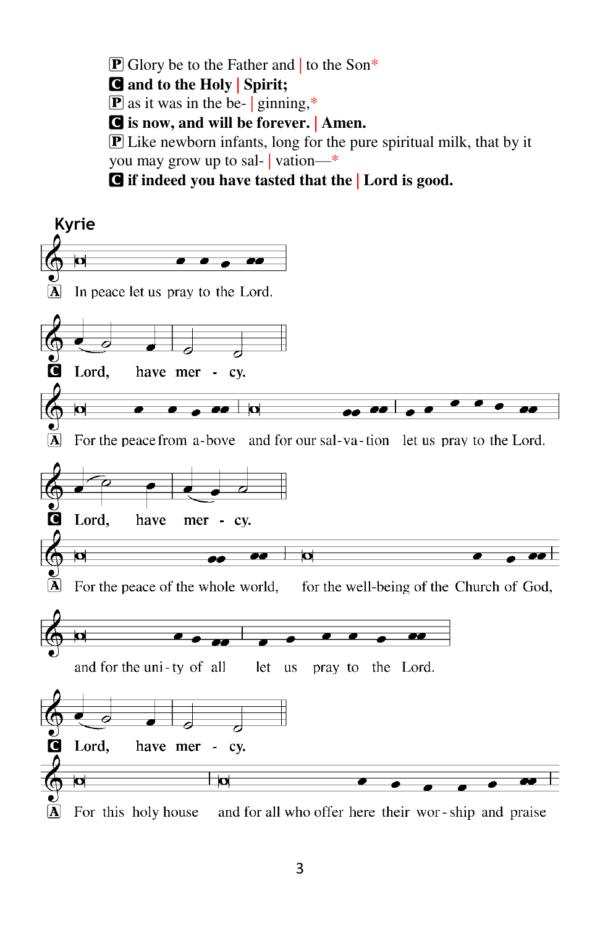**P** Glory be to the Father and to the Son<sup>\*</sup>

C **and to the Holy | Spirit;** 

 $\boxed{\mathbf{P}}$  as it was in the be- | ginning,\*

C **is now, and will be forever. | Amen.** 

 $\bf{P}$  Like newborn infants, long for the pure spiritual milk, that by it you may grow up to sal- | vation—\*

C **if indeed you have tasted that the | Lord is good.** 

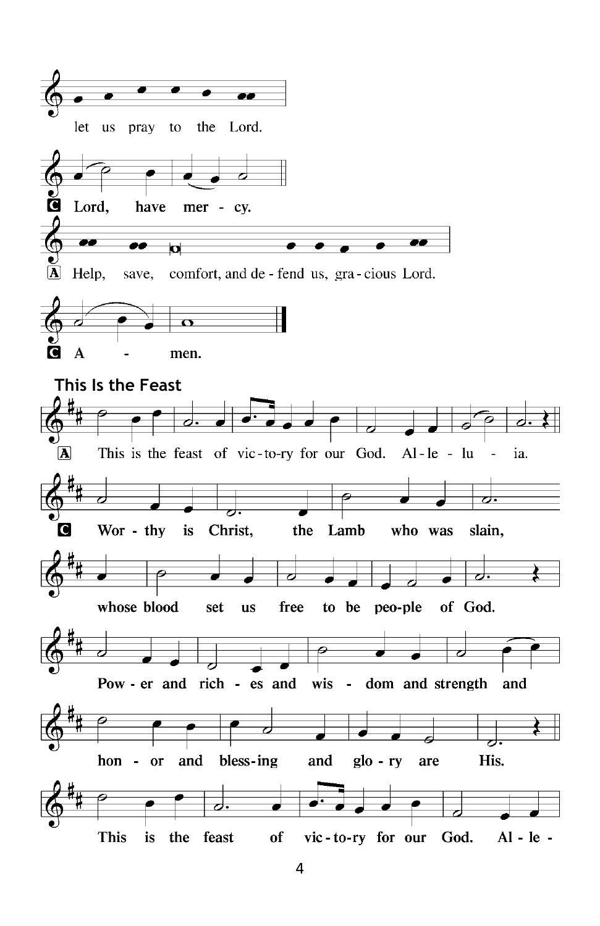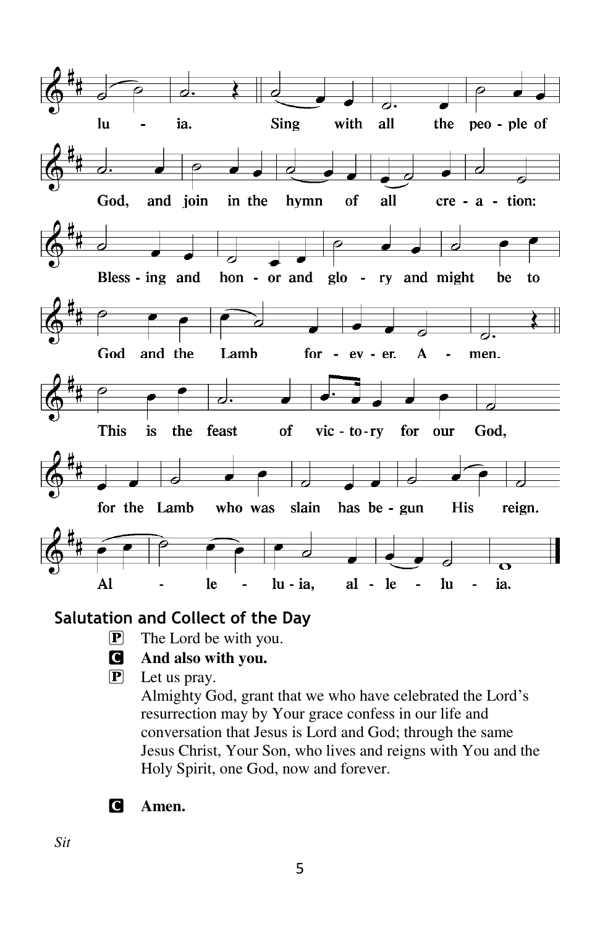

#### **Salutation and Collect of the Day**

 $\overline{P}$  The Lord be with you.

#### C **And also with you.**

 $\overline{P}$  Let us pray.

Almighty God, grant that we who have celebrated the Lord's resurrection may by Your grace confess in our life and conversation that Jesus is Lord and God; through the same Jesus Christ, Your Son, who lives and reigns with You and the Holy Spirit, one God, now and forever.

C **Amen.** 

*Sit*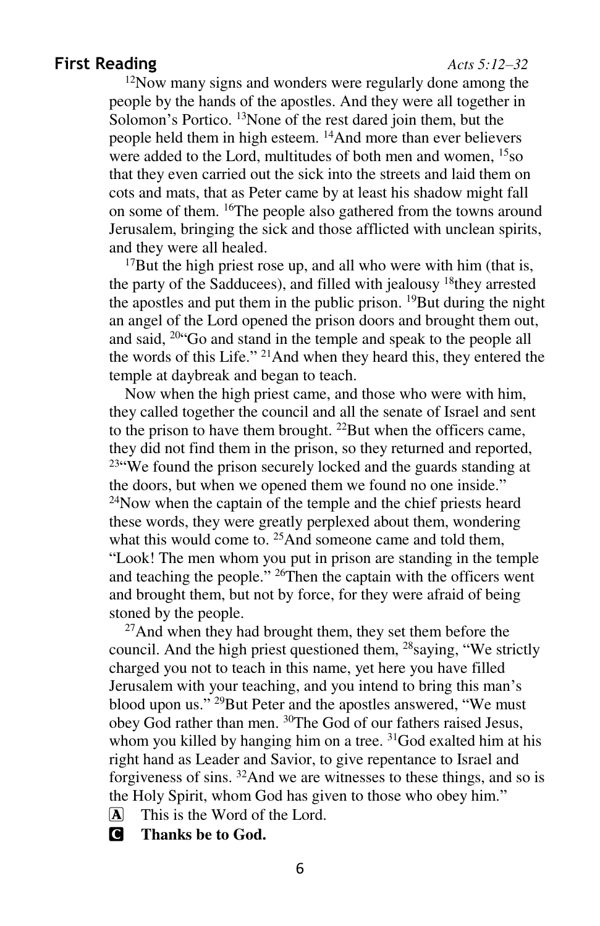#### **First Reading** *Acts 5:12–32*

<sup>12</sup>Now many signs and wonders were regularly done among the people by the hands of the apostles. And they were all together in Solomon's Portico. <sup>13</sup>None of the rest dared join them, but the people held them in high esteem. <sup>14</sup>And more than ever believers were added to the Lord, multitudes of both men and women, <sup>15</sup>so that they even carried out the sick into the streets and laid them on cots and mats, that as Peter came by at least his shadow might fall on some of them. <sup>16</sup>The people also gathered from the towns around Jerusalem, bringing the sick and those afflicted with unclean spirits, and they were all healed.

 $17$ But the high priest rose up, and all who were with him (that is, the party of the Sadducees), and filled with jealousy <sup>18</sup>they arrested the apostles and put them in the public prison. <sup>19</sup>But during the night an angel of the Lord opened the prison doors and brought them out, and said, <sup>20</sup>"Go and stand in the temple and speak to the people all the words of this Life."<sup>21</sup>And when they heard this, they entered the temple at daybreak and began to teach.

Now when the high priest came, and those who were with him, they called together the council and all the senate of Israel and sent to the prison to have them brought. <sup>22</sup>But when the officers came, they did not find them in the prison, so they returned and reported, <sup>23</sup>"We found the prison securely locked and the guards standing at the doors, but when we opened them we found no one inside." <sup>24</sup>Now when the captain of the temple and the chief priests heard these words, they were greatly perplexed about them, wondering what this would come to.  $^{25}$ And someone came and told them, "Look! The men whom you put in prison are standing in the temple and teaching the people." <sup>26</sup>Then the captain with the officers went and brought them, but not by force, for they were afraid of being stoned by the people.

<sup>27</sup>And when they had brought them, they set them before the council. And the high priest questioned them, <sup>28</sup>saying, "We strictly charged you not to teach in this name, yet here you have filled Jerusalem with your teaching, and you intend to bring this man's blood upon us."<sup>29</sup>But Peter and the apostles answered, "We must obey God rather than men. <sup>30</sup>The God of our fathers raised Jesus, whom you killed by hanging him on a tree. <sup>31</sup>God exalted him at his right hand as Leader and Savior, to give repentance to Israel and forgiveness of sins. <sup>32</sup>And we are witnesses to these things, and so is the Holy Spirit, whom God has given to those who obey him."

- A This is the Word of the Lord.
- C **Thanks be to God.**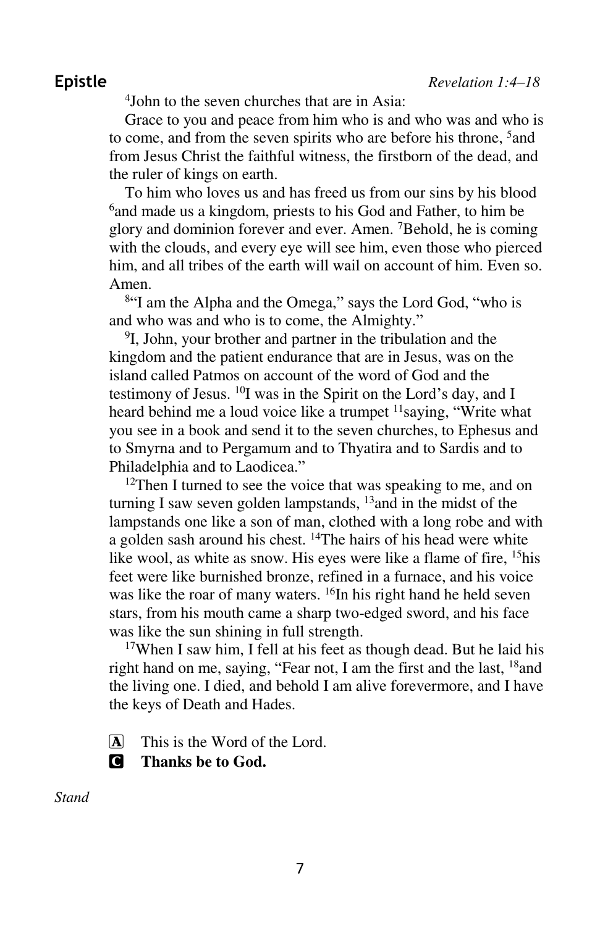4 John to the seven churches that are in Asia:

Grace to you and peace from him who is and who was and who is to come, and from the seven spirits who are before his throne, <sup>5</sup>and from Jesus Christ the faithful witness, the firstborn of the dead, and the ruler of kings on earth.

To him who loves us and has freed us from our sins by his blood <sup>6</sup> and made us a kingdom, priests to his God and Father, to him be glory and dominion forever and ever. Amen. <sup>7</sup>Behold, he is coming with the clouds, and every eye will see him, even those who pierced him, and all tribes of the earth will wail on account of him. Even so. Amen.

<sup>8"</sup>I am the Alpha and the Omega," says the Lord God, "who is and who was and who is to come, the Almighty."

9 I, John, your brother and partner in the tribulation and the kingdom and the patient endurance that are in Jesus, was on the island called Patmos on account of the word of God and the testimony of Jesus. <sup>10</sup>I was in the Spirit on the Lord's day, and I heard behind me a loud voice like a trumpet  $\frac{11}{1}$ saying, "Write what you see in a book and send it to the seven churches, to Ephesus and to Smyrna and to Pergamum and to Thyatira and to Sardis and to Philadelphia and to Laodicea."

 $12$ Then I turned to see the voice that was speaking to me, and on turning I saw seven golden lampstands, <sup>13</sup> and in the midst of the lampstands one like a son of man, clothed with a long robe and with a golden sash around his chest. <sup>14</sup>The hairs of his head were white like wool, as white as snow. His eyes were like a flame of fire, <sup>15</sup>his feet were like burnished bronze, refined in a furnace, and his voice was like the roar of many waters. <sup>16</sup>In his right hand he held seven stars, from his mouth came a sharp two-edged sword, and his face was like the sun shining in full strength.

<sup>17</sup>When I saw him, I fell at his feet as though dead. But he laid his right hand on me, saying, "Fear not, I am the first and the last,  $18$  and the living one. I died, and behold I am alive forevermore, and I have the keys of Death and Hades.

A This is the Word of the Lord.

C **Thanks be to God.** 

*Stand*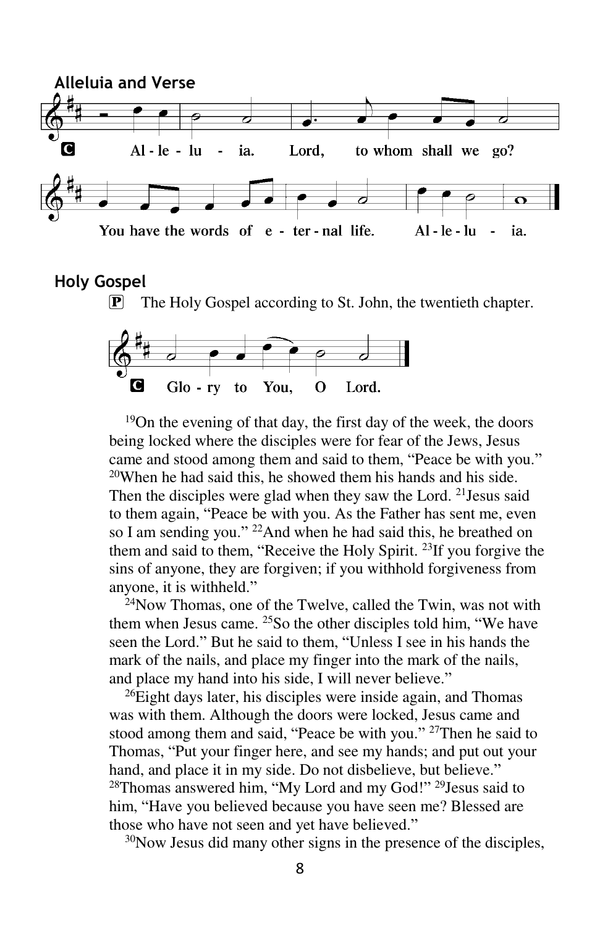

#### **Holy Gospel**

 $\boxed{\mathbf{P}}$  The Holy Gospel according to St. John, the twentieth chapter.



<sup>19</sup>On the evening of that day, the first day of the week, the doors being locked where the disciples were for fear of the Jews, Jesus came and stood among them and said to them, "Peace be with you."  $20$ When he had said this, he showed them his hands and his side. Then the disciples were glad when they saw the Lord. <sup>21</sup> Jesus said to them again, "Peace be with you. As the Father has sent me, even so I am sending you." <sup>22</sup>And when he had said this, he breathed on them and said to them, "Receive the Holy Spirit. <sup>23</sup>If you forgive the sins of anyone, they are forgiven; if you withhold forgiveness from anyone, it is withheld."

<sup>24</sup>Now Thomas, one of the Twelve, called the Twin, was not with them when Jesus came.  $25$ So the other disciples told him, "We have seen the Lord." But he said to them, "Unless I see in his hands the mark of the nails, and place my finger into the mark of the nails, and place my hand into his side, I will never believe."

 $^{26}$ Eight days later, his disciples were inside again, and Thomas was with them. Although the doors were locked, Jesus came and stood among them and said, "Peace be with you." <sup>27</sup>Then he said to Thomas, "Put your finger here, and see my hands; and put out your hand, and place it in my side. Do not disbelieve, but believe." <sup>28</sup>Thomas answered him, "My Lord and my God!"<sup>29</sup>Jesus said to him, "Have you believed because you have seen me? Blessed are those who have not seen and yet have believed."

30Now Jesus did many other signs in the presence of the disciples,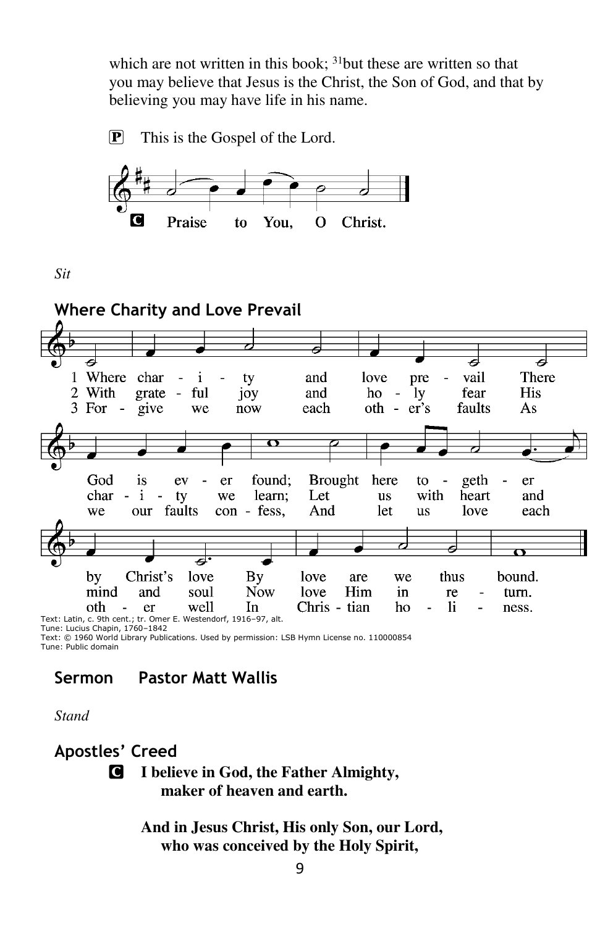which are not written in this book;  $31$  but these are written so that you may believe that Jesus is the Christ, the Son of God, and that by believing you may have life in his name.

P This is the Gospel of the Lord.



*Sit* 



Text: © 1960 World Library Publications. Used by permission: LSB Hymn License no. 110000854 Tune: Public domain

# **Sermon Pastor Matt Wallis**

*Stand* 

**Apostles' Creed** 

C **I believe in God, the Father Almighty, maker of heaven and earth.** 

> **And in Jesus Christ, His only Son, our Lord, who was conceived by the Holy Spirit,**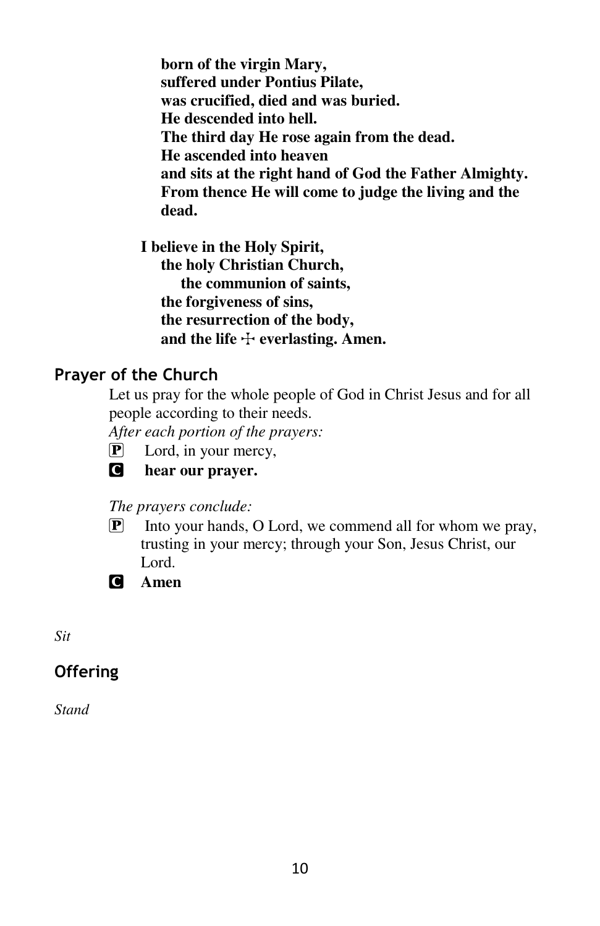**born of the virgin Mary, suffered under Pontius Pilate, was crucified, died and was buried. He descended into hell. The third day He rose again from the dead. He ascended into heaven and sits at the right hand of God the Father Almighty. From thence He will come to judge the living and the dead.** 

**I believe in the Holy Spirit, the holy Christian Church, the communion of saints, the forgiveness of sins, the resurrection of the body,**  and the life  $\pm$  everlasting. Amen.

### **Prayer of the Church**

Let us pray for the whole people of God in Christ Jesus and for all people according to their needs.

*After each portion of the prayers:* 

 $\mathbf{P}$  Lord, in your mercy,



C **hear our prayer.** 

#### *The prayers conclude:*

- $\boxed{\mathbf{P}}$  Into your hands, O Lord, we commend all for whom we pray, trusting in your mercy; through your Son, Jesus Christ, our Lord.
- C **Amen**

*Sit* 

# **Offering**

*Stand*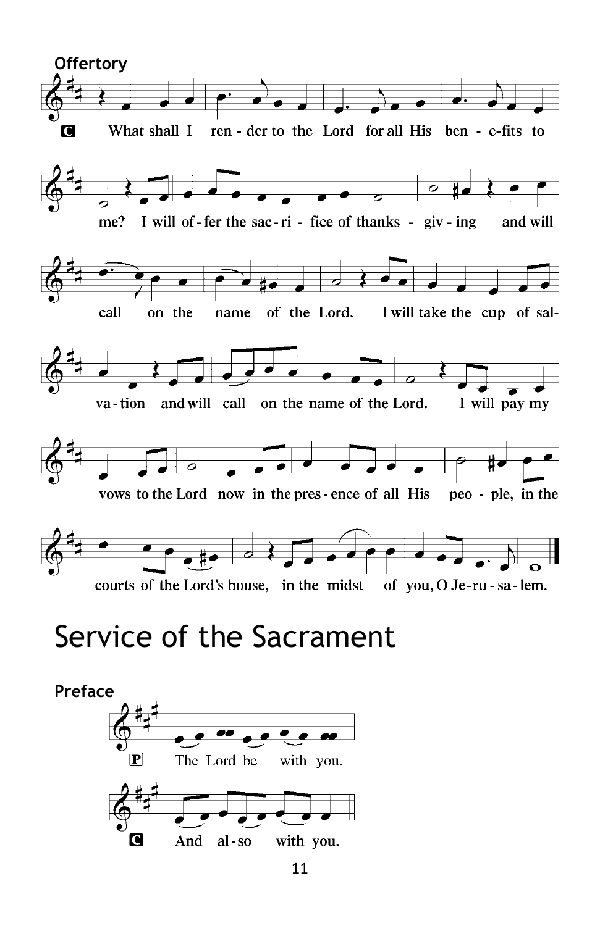

# Service of the Sacrament

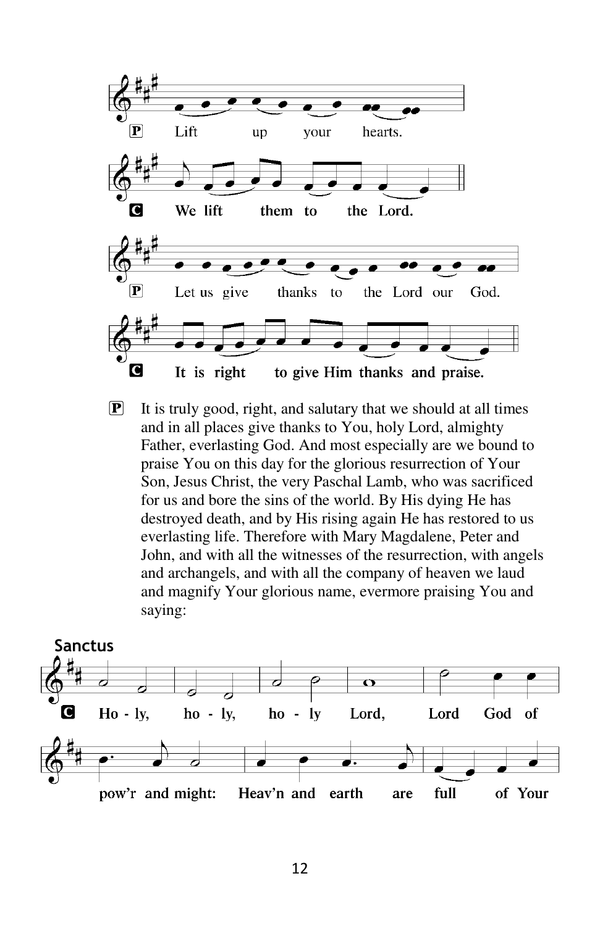

 $\mathbf{P}$  It is truly good, right, and salutary that we should at all times and in all places give thanks to You, holy Lord, almighty Father, everlasting God. And most especially are we bound to praise You on this day for the glorious resurrection of Your Son, Jesus Christ, the very Paschal Lamb, who was sacrificed for us and bore the sins of the world. By His dying He has destroyed death, and by His rising again He has restored to us everlasting life. Therefore with Mary Magdalene, Peter and John, and with all the witnesses of the resurrection, with angels and archangels, and with all the company of heaven we laud and magnify Your glorious name, evermore praising You and saying:

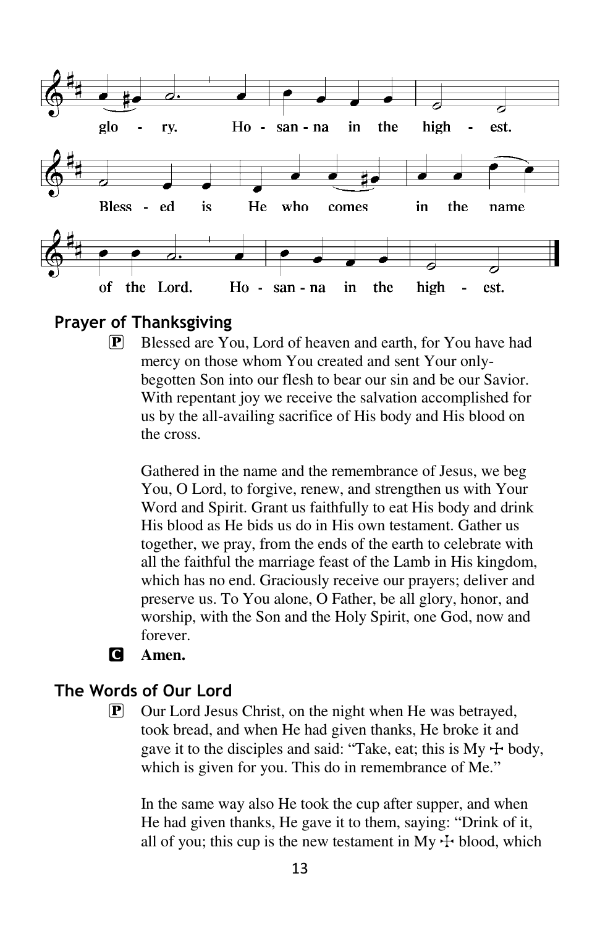

**Prayer of Thanksgiving**

P Blessed are You, Lord of heaven and earth, for You have had mercy on those whom You created and sent Your onlybegotten Son into our flesh to bear our sin and be our Savior. With repentant joy we receive the salvation accomplished for us by the all-availing sacrifice of His body and His blood on the cross.

Gathered in the name and the remembrance of Jesus, we beg You, O Lord, to forgive, renew, and strengthen us with Your Word and Spirit. Grant us faithfully to eat His body and drink His blood as He bids us do in His own testament. Gather us together, we pray, from the ends of the earth to celebrate with all the faithful the marriage feast of the Lamb in His kingdom, which has no end. Graciously receive our prayers; deliver and preserve us. To You alone, O Father, be all glory, honor, and worship, with the Son and the Holy Spirit, one God, now and forever.

C **Amen.** 

# **The Words of Our Lord**

P Our Lord Jesus Christ, on the night when He was betrayed, took bread, and when He had given thanks, He broke it and gave it to the disciples and said: "Take, eat; this is  $My + body$ , which is given for you. This do in remembrance of Me."

In the same way also He took the cup after supper, and when He had given thanks, He gave it to them, saying: "Drink of it, all of you; this cup is the new testament in My  $\pm$  blood, which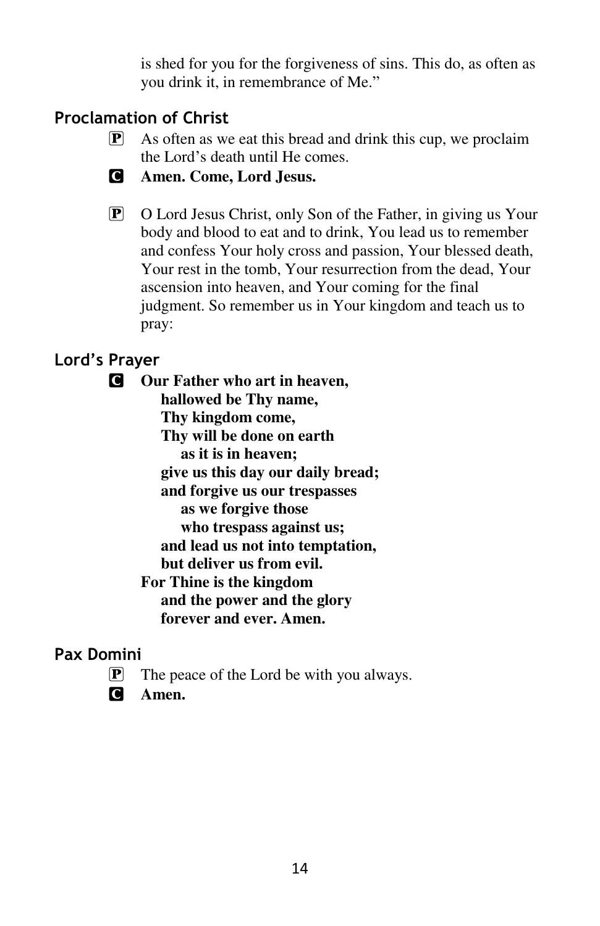is shed for you for the forgiveness of sins. This do, as often as you drink it, in remembrance of Me."

# **Proclamation of Christ**

- $\boxed{\mathbf{P}}$  As often as we eat this bread and drink this cup, we proclaim the Lord's death until He comes.
- C **Amen. Come, Lord Jesus.**
- P O Lord Jesus Christ, only Son of the Father, in giving us Your body and blood to eat and to drink, You lead us to remember and confess Your holy cross and passion, Your blessed death, Your rest in the tomb, Your resurrection from the dead, Your ascension into heaven, and Your coming for the final judgment. So remember us in Your kingdom and teach us to pray:

# **Lord's Prayer**

C **Our Father who art in heaven, hallowed be Thy name, Thy kingdom come, Thy will be done on earth as it is in heaven; give us this day our daily bread; and forgive us our trespasses as we forgive those who trespass against us; and lead us not into temptation, but deliver us from evil. For Thine is the kingdom and the power and the glory forever and ever. Amen.** 

#### **Pax Domini**

- $\left[ \mathbf{P} \right]$  The peace of the Lord be with you always.
- C **Amen.**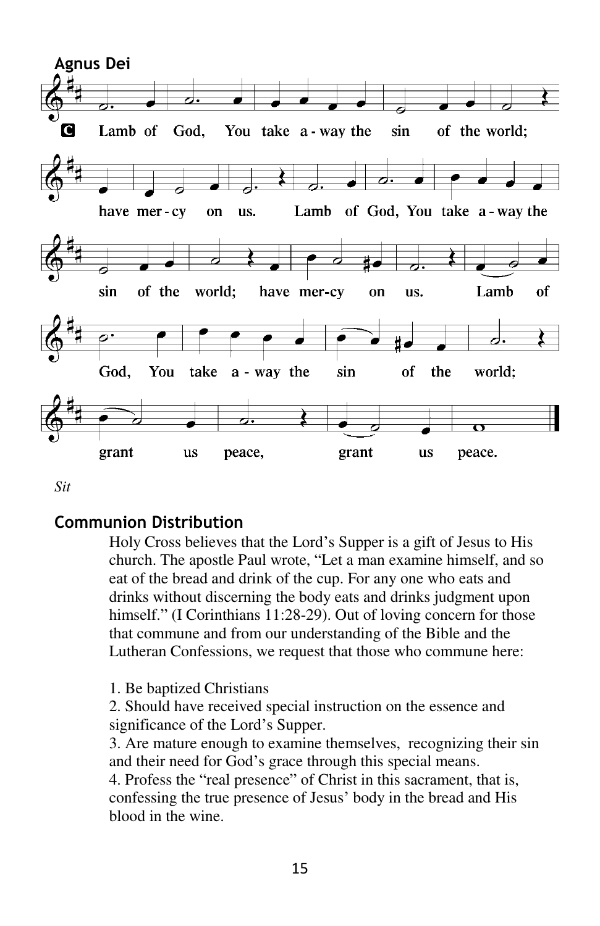

*Sit* 

#### **Communion Distribution**

Holy Cross believes that the Lord's Supper is a gift of Jesus to His church. The apostle Paul wrote, "Let a man examine himself, and so eat of the bread and drink of the cup. For any one who eats and drinks without discerning the body eats and drinks judgment upon himself." (I Corinthians 11:28-29). Out of loving concern for those that commune and from our understanding of the Bible and the Lutheran Confessions, we request that those who commune here:

1. Be baptized Christians

2. Should have received special instruction on the essence and significance of the Lord's Supper.

3. Are mature enough to examine themselves, recognizing their sin and their need for God's grace through this special means.

4. Profess the "real presence" of Christ in this sacrament, that is, confessing the true presence of Jesus' body in the bread and His blood in the wine.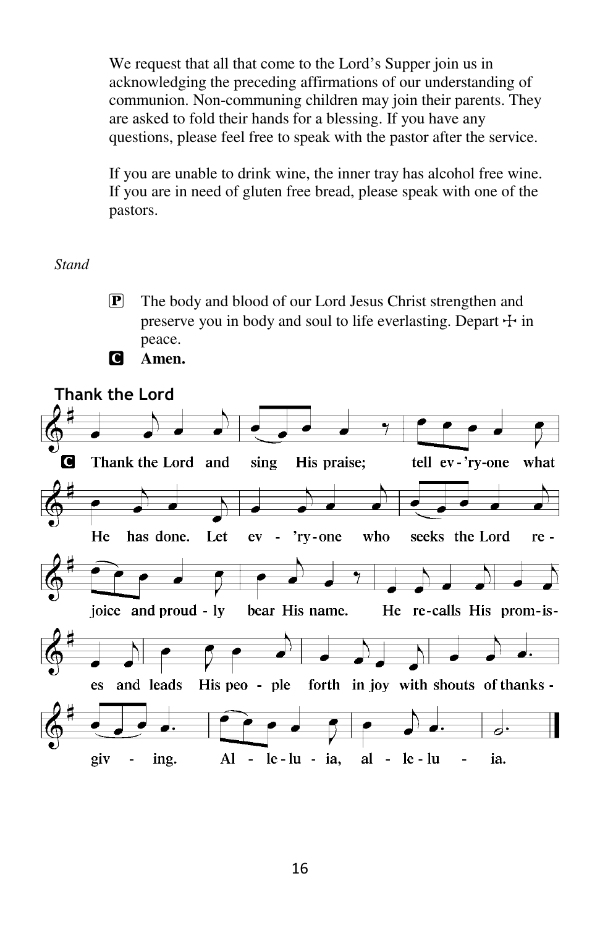We request that all that come to the Lord's Supper join us in acknowledging the preceding affirmations of our understanding of communion. Non-communing children may join their parents. They are asked to fold their hands for a blessing. If you have any questions, please feel free to speak with the pastor after the service.

If you are unable to drink wine, the inner tray has alcohol free wine. If you are in need of gluten free bread, please speak with one of the pastors.

#### *Stand*

P The body and blood of our Lord Jesus Christ strengthen and preserve you in body and soul to life everlasting. Depart  $\pm$  in peace.



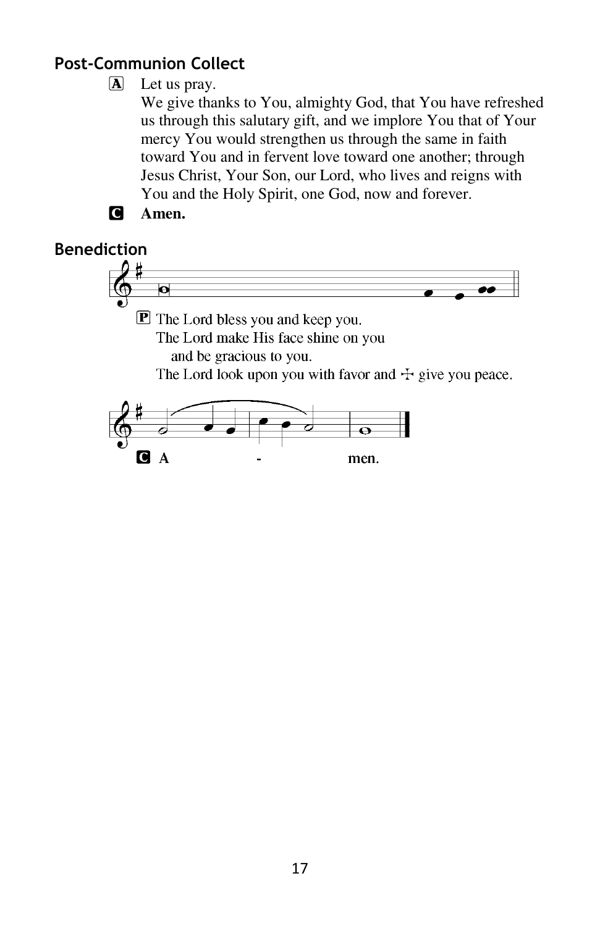# **Post-Communion Collect**

# $\Delta$  Let us pray.

We give thanks to You, almighty God, that You have refreshed us through this salutary gift, and we implore You that of Your mercy You would strengthen us through the same in faith toward You and in fervent love toward one another; through Jesus Christ, Your Son, our Lord, who lives and reigns with You and the Holy Spirit, one God, now and forever.

men.



C.  $\mathbf{A}$ 

# **Benediction** $\overline{\mathbf{o}}$ **P** The Lord bless you and keep you. The Lord make His face shine on you and be gracious to you. The Lord look upon you with favor and  $\pm$  give you peace.  $\overline{\mathbf{o}}$